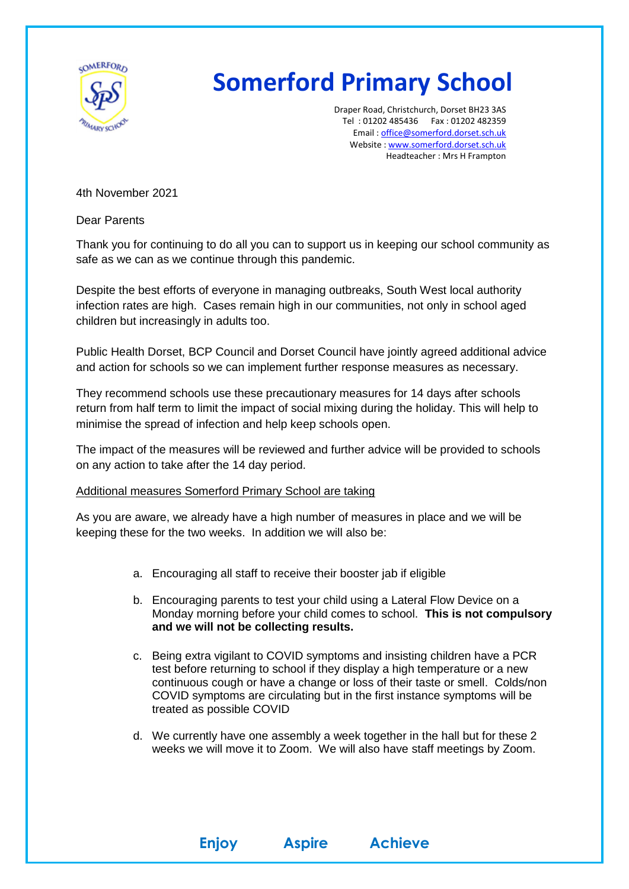

## **Somerford Primary School**

Draper Road, Christchurch, Dorset BH23 3AS Tel : 01202 485436 Fax : 01202 482359 Email : [office@somerford.dorset.sch.uk](mailto:office@somerford.dorset.sch.uk) Website : [www.somerford.dorset.sch.uk](http://www.somerford.dorset.sch.uk/) Headteacher : Mrs H Frampton

4th November 2021

Dear Parents

Thank you for continuing to do all you can to support us in keeping our school community as safe as we can as we continue through this pandemic.

Despite the best efforts of everyone in managing outbreaks, South West local authority infection rates are high. Cases remain high in our communities, not only in school aged children but increasingly in adults too.

Public Health Dorset, BCP Council and Dorset Council have jointly agreed additional advice and action for schools so we can implement further response measures as necessary.

They recommend schools use these precautionary measures for 14 days after schools return from half term to limit the impact of social mixing during the holiday. This will help to minimise the spread of infection and help keep schools open.

The impact of the measures will be reviewed and further advice will be provided to schools on any action to take after the 14 day period.

## Additional measures Somerford Primary School are taking

As you are aware, we already have a high number of measures in place and we will be keeping these for the two weeks. In addition we will also be:

- a. Encouraging all staff to receive their booster jab if eligible
- b. Encouraging parents to test your child using a Lateral Flow Device on a Monday morning before your child comes to school. **This is not compulsory and we will not be collecting results.**
- c. Being extra vigilant to COVID symptoms and insisting children have a PCR test before returning to school if they display a high temperature or a new continuous cough or have a change or loss of their taste or smell. Colds/non COVID symptoms are circulating but in the first instance symptoms will be treated as possible COVID
- d. We currently have one assembly a week together in the hall but for these 2 weeks we will move it to Zoom. We will also have staff meetings by Zoom.

**Enjoy Aspire Achieve**